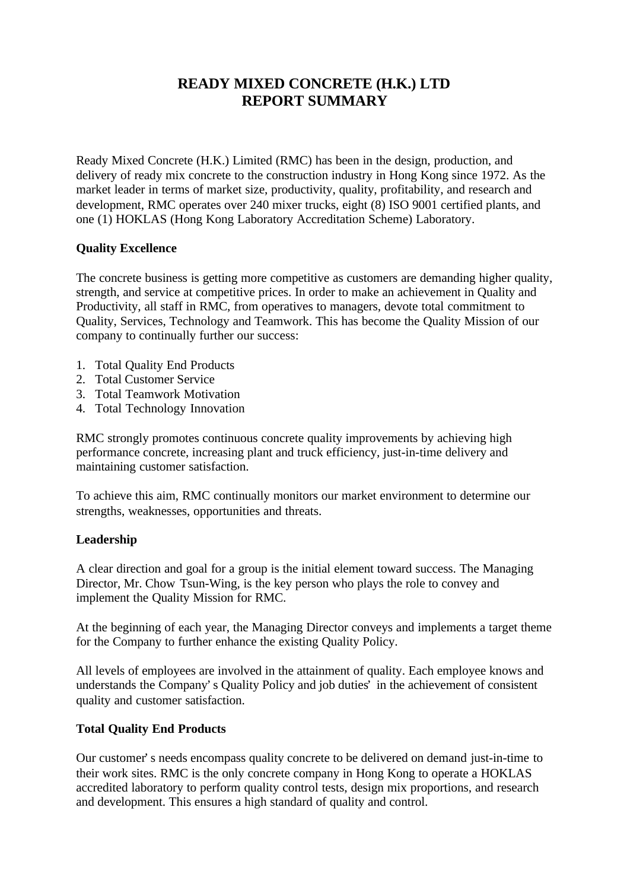# **READY MIXED CONCRETE (H.K.) LTD REPORT SUMMARY**

Ready Mixed Concrete (H.K.) Limited (RMC) has been in the design, production, and delivery of ready mix concrete to the construction industry in Hong Kong since 1972. As the market leader in terms of market size, productivity, quality, profitability, and research and development, RMC operates over 240 mixer trucks, eight (8) ISO 9001 certified plants, and one (1) HOKLAS (Hong Kong Laboratory Accreditation Scheme) Laboratory.

# **Quality Excellence**

The concrete business is getting more competitive as customers are demanding higher quality, strength, and service at competitive prices. In order to make an achievement in Quality and Productivity, all staff in RMC, from operatives to managers, devote total commitment to Quality, Services, Technology and Teamwork. This has become the Quality Mission of our company to continually further our success:

- 1. Total Quality End Products
- 2. Total Customer Service
- 3. Total Teamwork Motivation
- 4. Total Technology Innovation

RMC strongly promotes continuous concrete quality improvements by achieving high performance concrete, increasing plant and truck efficiency, just-in-time delivery and maintaining customer satisfaction.

To achieve this aim, RMC continually monitors our market environment to determine our strengths, weaknesses, opportunities and threats.

### **Leadership**

A clear direction and goal for a group is the initial element toward success. The Managing Director, Mr. Chow Tsun-Wing, is the key person who plays the role to convey and implement the Quality Mission for RMC.

At the beginning of each year, the Managing Director conveys and implements a target theme for the Company to further enhance the existing Quality Policy.

All levels of employees are involved in the attainment of quality. Each employee knows and understands the Company's Quality Policy and job duties' in the achievement of consistent quality and customer satisfaction.

# **Total Quality End Products**

Our customer's needs encompass quality concrete to be delivered on demand just-in-time to their work sites. RMC is the only concrete company in Hong Kong to operate a HOKLAS accredited laboratory to perform quality control tests, design mix proportions, and research and development. This ensures a high standard of quality and control.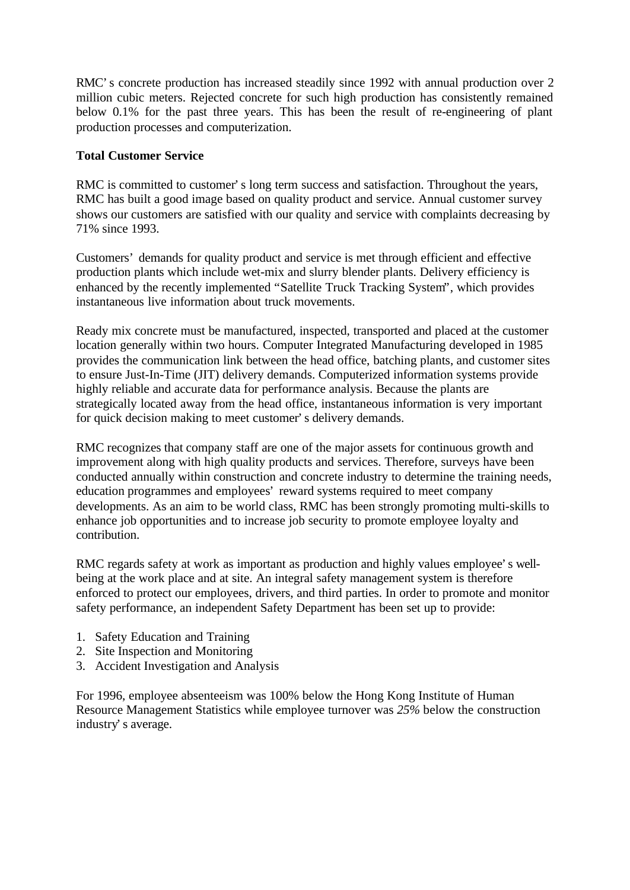RMC's concrete production has increased steadily since 1992 with annual production over 2 million cubic meters. Rejected concrete for such high production has consistently remained below 0.1% for the past three years. This has been the result of re-engineering of plant production processes and computerization.

# **Total Customer Service**

RMC is committed to customer's long term success and satisfaction. Throughout the years, RMC has built a good image based on quality product and service. Annual customer survey shows our customers are satisfied with our quality and service with complaints decreasing by 71% since 1993.

Customers' demands for quality product and service is met through efficient and effective production plants which include wet-mix and slurry blender plants. Delivery efficiency is enhanced by the recently implemented "Satellite Truck Tracking System", which provides instantaneous live information about truck movements.

Ready mix concrete must be manufactured, inspected, transported and placed at the customer location generally within two hours. Computer Integrated Manufacturing developed in 1985 provides the communication link between the head office, batching plants, and customer sites to ensure Just-In-Time (JIT) delivery demands. Computerized information systems provide highly reliable and accurate data for performance analysis. Because the plants are strategically located away from the head office, instantaneous information is very important for quick decision making to meet customer's delivery demands.

RMC recognizes that company staff are one of the major assets for continuous growth and improvement along with high quality products and services. Therefore, surveys have been conducted annually within construction and concrete industry to determine the training needs, education programmes and employees' reward systems required to meet company developments. As an aim to be world class, RMC has been strongly promoting multi-skills to enhance job opportunities and to increase job security to promote employee loyalty and contribution.

RMC regards safety at work as important as production and highly values employee's wellbeing at the work place and at site. An integral safety management system is therefore enforced to protect our employees, drivers, and third parties. In order to promote and monitor safety performance, an independent Safety Department has been set up to provide:

- 1. Safety Education and Training
- 2. Site Inspection and Monitoring
- 3. Accident Investigation and Analysis

For 1996, employee absenteeism was 100% below the Hong Kong Institute of Human Resource Management Statistics while employee turnover was *25%* below the construction industry's average.